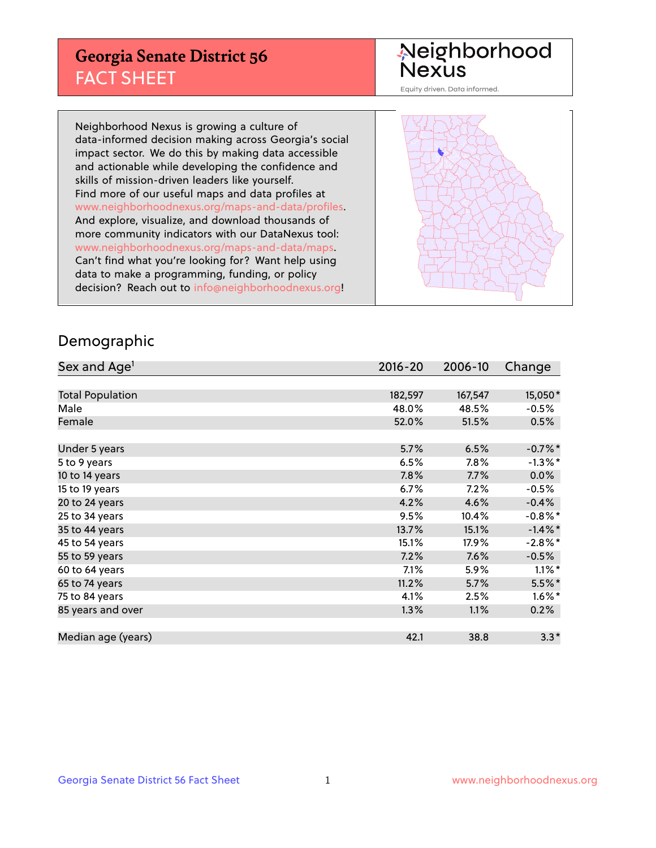## **Georgia Senate District 56** FACT SHEET

# Neighborhood<br>Nexus

Equity driven. Data informed.

Neighborhood Nexus is growing a culture of data-informed decision making across Georgia's social impact sector. We do this by making data accessible and actionable while developing the confidence and skills of mission-driven leaders like yourself. Find more of our useful maps and data profiles at www.neighborhoodnexus.org/maps-and-data/profiles. And explore, visualize, and download thousands of more community indicators with our DataNexus tool: www.neighborhoodnexus.org/maps-and-data/maps. Can't find what you're looking for? Want help using data to make a programming, funding, or policy decision? Reach out to [info@neighborhoodnexus.org!](mailto:info@neighborhoodnexus.org)



### Demographic

| Sex and Age <sup>1</sup> | $2016 - 20$ | 2006-10 | Change     |
|--------------------------|-------------|---------|------------|
|                          |             |         |            |
| <b>Total Population</b>  | 182,597     | 167,547 | 15,050*    |
| Male                     | 48.0%       | 48.5%   | $-0.5%$    |
| Female                   | 52.0%       | 51.5%   | 0.5%       |
|                          |             |         |            |
| Under 5 years            | 5.7%        | 6.5%    | $-0.7%$ *  |
| 5 to 9 years             | 6.5%        | 7.8%    | $-1.3\%$ * |
| 10 to 14 years           | 7.8%        | 7.7%    | 0.0%       |
| 15 to 19 years           | 6.7%        | 7.2%    | $-0.5%$    |
| 20 to 24 years           | 4.2%        | 4.6%    | $-0.4%$    |
| 25 to 34 years           | 9.5%        | 10.4%   | $-0.8\%$ * |
| 35 to 44 years           | 13.7%       | 15.1%   | $-1.4\%$ * |
| 45 to 54 years           | 15.1%       | 17.9%   | $-2.8\%$ * |
| 55 to 59 years           | 7.2%        | 7.6%    | $-0.5%$    |
| 60 to 64 years           | 7.1%        | 5.9%    | $1.1\%$ *  |
| 65 to 74 years           | 11.2%       | 5.7%    | $5.5%$ *   |
| 75 to 84 years           | 4.1%        | 2.5%    | $1.6\%$ *  |
| 85 years and over        | 1.3%        | 1.1%    | 0.2%       |
|                          |             |         |            |
| Median age (years)       | 42.1        | 38.8    | $3.3*$     |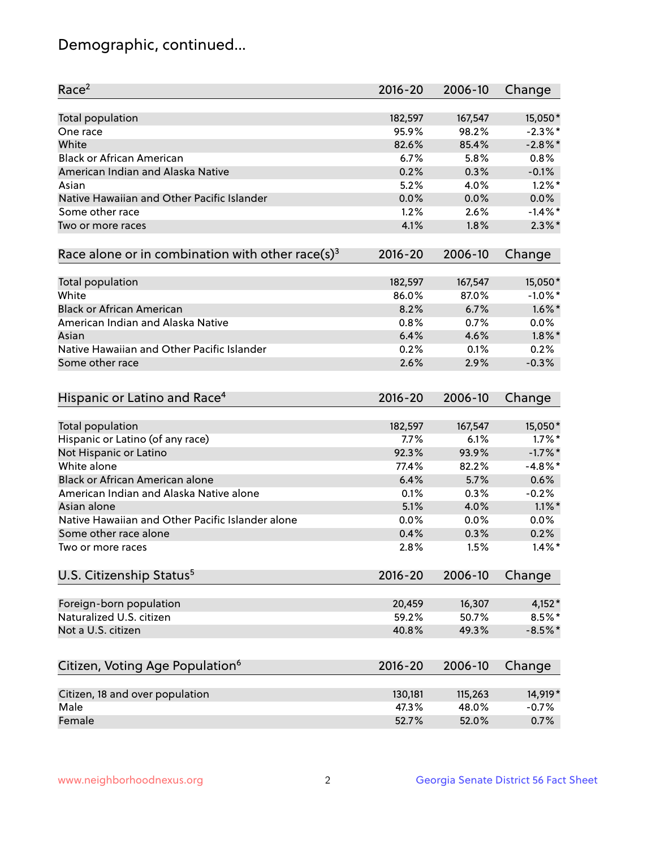## Demographic, continued...

| Race <sup>2</sup>                                            | $2016 - 20$ | 2006-10 | Change     |
|--------------------------------------------------------------|-------------|---------|------------|
| Total population                                             | 182,597     | 167,547 | 15,050*    |
| One race                                                     | 95.9%       | 98.2%   | $-2.3\%$ * |
| White                                                        | 82.6%       | 85.4%   | $-2.8\%$ * |
| <b>Black or African American</b>                             | 6.7%        | 5.8%    | 0.8%       |
| American Indian and Alaska Native                            | 0.2%        | 0.3%    | $-0.1%$    |
| Asian                                                        | 5.2%        | 4.0%    | $1.2\%$ *  |
| Native Hawaiian and Other Pacific Islander                   | 0.0%        | 0.0%    | 0.0%       |
| Some other race                                              | 1.2%        | 2.6%    | $-1.4\%$ * |
| Two or more races                                            | 4.1%        | 1.8%    | $2.3\%$ *  |
| Race alone or in combination with other race(s) <sup>3</sup> | $2016 - 20$ | 2006-10 | Change     |
| Total population                                             | 182,597     | 167,547 | 15,050*    |
| White                                                        | 86.0%       | 87.0%   | $-1.0\%$ * |
| <b>Black or African American</b>                             | 8.2%        | 6.7%    | $1.6\%$ *  |
| American Indian and Alaska Native                            | 0.8%        | 0.7%    | 0.0%       |
| Asian                                                        | 6.4%        | 4.6%    | $1.8\%$ *  |
| Native Hawaiian and Other Pacific Islander                   | 0.2%        | 0.1%    | 0.2%       |
| Some other race                                              | 2.6%        | 2.9%    | $-0.3%$    |
| Hispanic or Latino and Race <sup>4</sup>                     | $2016 - 20$ | 2006-10 | Change     |
| Total population                                             | 182,597     | 167,547 | 15,050*    |
| Hispanic or Latino (of any race)                             | 7.7%        | 6.1%    | $1.7\%$ *  |
| Not Hispanic or Latino                                       | 92.3%       | 93.9%   | $-1.7%$ *  |
| White alone                                                  | 77.4%       | 82.2%   | $-4.8\%$ * |
| Black or African American alone                              | 6.4%        | 5.7%    | 0.6%       |
| American Indian and Alaska Native alone                      | 0.1%        | 0.3%    | $-0.2%$    |
| Asian alone                                                  | 5.1%        | 4.0%    | $1.1\%$ *  |
| Native Hawaiian and Other Pacific Islander alone             | 0.0%        | 0.0%    | 0.0%       |
| Some other race alone                                        | 0.4%        | 0.3%    | 0.2%       |
| Two or more races                                            | 2.8%        | 1.5%    | $1.4\%$ *  |
| U.S. Citizenship Status <sup>5</sup>                         | $2016 - 20$ | 2006-10 | Change     |
| Foreign-born population                                      | 20,459      | 16,307  | $4,152*$   |
| Naturalized U.S. citizen                                     | 59.2%       | 50.7%   | $8.5\%$ *  |
| Not a U.S. citizen                                           | 40.8%       | 49.3%   | $-8.5%$ *  |
|                                                              |             |         |            |
| Citizen, Voting Age Population <sup>6</sup>                  | 2016-20     | 2006-10 | Change     |
| Citizen, 18 and over population                              | 130,181     | 115,263 | 14,919*    |
| Male                                                         | 47.3%       | 48.0%   | $-0.7%$    |
| Female                                                       | 52.7%       | 52.0%   | 0.7%       |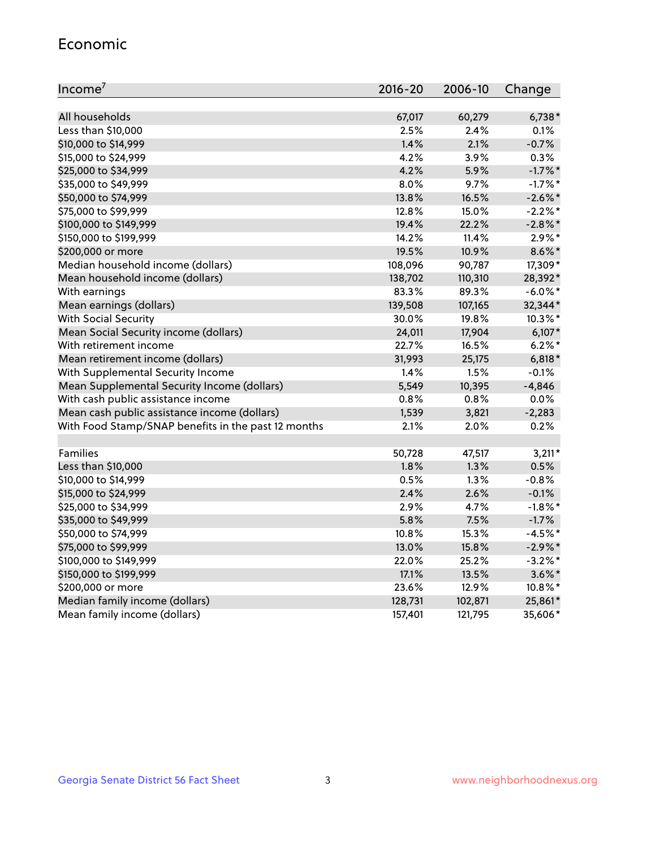#### Economic

| Income <sup>7</sup>                                 | 2016-20 | 2006-10 | Change     |
|-----------------------------------------------------|---------|---------|------------|
|                                                     |         |         |            |
| All households                                      | 67,017  | 60,279  | $6,738*$   |
| Less than \$10,000                                  | 2.5%    | 2.4%    | 0.1%       |
| \$10,000 to \$14,999                                | 1.4%    | 2.1%    | $-0.7%$    |
| \$15,000 to \$24,999                                | 4.2%    | 3.9%    | 0.3%       |
| \$25,000 to \$34,999                                | 4.2%    | 5.9%    | $-1.7%$ *  |
| \$35,000 to \$49,999                                | 8.0%    | 9.7%    | $-1.7%$ *  |
| \$50,000 to \$74,999                                | 13.8%   | 16.5%   | $-2.6\%$ * |
| \$75,000 to \$99,999                                | 12.8%   | 15.0%   | $-2.2\%$ * |
| \$100,000 to \$149,999                              | 19.4%   | 22.2%   | $-2.8\%$ * |
| \$150,000 to \$199,999                              | 14.2%   | 11.4%   | $2.9\%$ *  |
| \$200,000 or more                                   | 19.5%   | 10.9%   | $8.6\%$ *  |
| Median household income (dollars)                   | 108,096 | 90,787  | 17,309*    |
| Mean household income (dollars)                     | 138,702 | 110,310 | 28,392*    |
| With earnings                                       | 83.3%   | 89.3%   | $-6.0\%$ * |
| Mean earnings (dollars)                             | 139,508 | 107,165 | 32,344*    |
| <b>With Social Security</b>                         | 30.0%   | 19.8%   | 10.3%*     |
| Mean Social Security income (dollars)               | 24,011  | 17,904  | $6,107*$   |
| With retirement income                              | 22.7%   | 16.5%   | $6.2\%$ *  |
| Mean retirement income (dollars)                    | 31,993  | 25,175  | $6,818*$   |
| With Supplemental Security Income                   | 1.4%    | 1.5%    | $-0.1%$    |
| Mean Supplemental Security Income (dollars)         | 5,549   | 10,395  | $-4,846$   |
| With cash public assistance income                  | 0.8%    | 0.8%    | 0.0%       |
| Mean cash public assistance income (dollars)        | 1,539   | 3,821   | $-2,283$   |
| With Food Stamp/SNAP benefits in the past 12 months | 2.1%    | 2.0%    | 0.2%       |
| Families                                            | 50,728  | 47,517  | $3,211*$   |
| Less than \$10,000                                  | 1.8%    | 1.3%    | 0.5%       |
| \$10,000 to \$14,999                                | 0.5%    | 1.3%    | $-0.8%$    |
| \$15,000 to \$24,999                                | 2.4%    | 2.6%    | $-0.1%$    |
| \$25,000 to \$34,999                                | 2.9%    | 4.7%    | $-1.8\%$ * |
| \$35,000 to \$49,999                                | 5.8%    | 7.5%    | $-1.7%$    |
| \$50,000 to \$74,999                                | 10.8%   | 15.3%   | $-4.5%$ *  |
| \$75,000 to \$99,999                                | 13.0%   | 15.8%   | $-2.9\%$ * |
| \$100,000 to \$149,999                              | 22.0%   | 25.2%   | $-3.2%$ *  |
| \$150,000 to \$199,999                              | 17.1%   | 13.5%   | $3.6\%$ *  |
| \$200,000 or more                                   | 23.6%   | 12.9%   | 10.8%*     |
| Median family income (dollars)                      | 128,731 | 102,871 | 25,861*    |
|                                                     |         |         |            |
| Mean family income (dollars)                        | 157,401 | 121,795 | 35,606*    |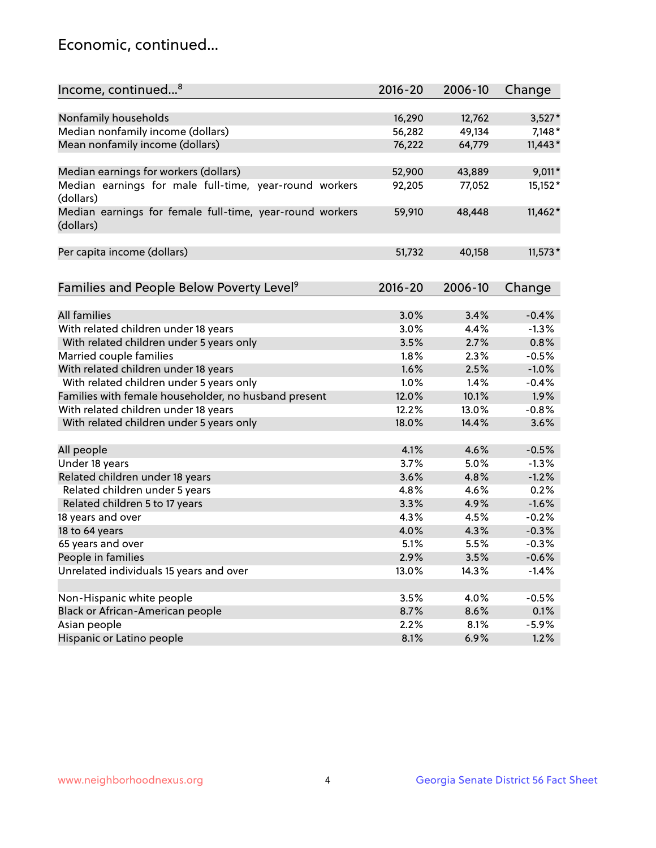## Economic, continued...

| Income, continued <sup>8</sup>                           | $2016 - 20$ | 2006-10 | Change    |
|----------------------------------------------------------|-------------|---------|-----------|
|                                                          |             |         |           |
| Nonfamily households                                     | 16,290      | 12,762  | $3,527*$  |
| Median nonfamily income (dollars)                        | 56,282      | 49,134  | $7,148*$  |
| Mean nonfamily income (dollars)                          | 76,222      | 64,779  | $11,443*$ |
|                                                          |             |         |           |
| Median earnings for workers (dollars)                    | 52,900      | 43,889  | $9,011*$  |
| Median earnings for male full-time, year-round workers   | 92,205      | 77,052  | 15,152*   |
| (dollars)                                                |             |         |           |
| Median earnings for female full-time, year-round workers | 59,910      | 48,448  | $11,462*$ |
| (dollars)                                                |             |         |           |
|                                                          |             |         |           |
| Per capita income (dollars)                              | 51,732      | 40,158  | $11,573*$ |
|                                                          |             |         |           |
| Families and People Below Poverty Level <sup>9</sup>     | $2016 - 20$ | 2006-10 | Change    |
|                                                          |             |         |           |
| <b>All families</b>                                      | 3.0%        | 3.4%    | $-0.4%$   |
| With related children under 18 years                     | 3.0%        | 4.4%    | $-1.3%$   |
| With related children under 5 years only                 | 3.5%        | 2.7%    | 0.8%      |
| Married couple families                                  | 1.8%        | 2.3%    | $-0.5%$   |
| With related children under 18 years                     | 1.6%        | 2.5%    | $-1.0%$   |
| With related children under 5 years only                 | 1.0%        | 1.4%    | $-0.4%$   |
| Families with female householder, no husband present     | 12.0%       | 10.1%   | 1.9%      |
| With related children under 18 years                     | 12.2%       | 13.0%   | $-0.8%$   |
| With related children under 5 years only                 | 18.0%       | 14.4%   | 3.6%      |
|                                                          |             |         |           |
| All people                                               | 4.1%        | 4.6%    | $-0.5%$   |
| Under 18 years                                           | 3.7%        | 5.0%    | $-1.3%$   |
| Related children under 18 years                          | 3.6%        | 4.8%    | $-1.2%$   |
| Related children under 5 years                           | 4.8%        | 4.6%    | 0.2%      |
| Related children 5 to 17 years                           | 3.3%        | 4.9%    | $-1.6%$   |
| 18 years and over                                        | 4.3%        | 4.5%    | $-0.2%$   |
| 18 to 64 years                                           | 4.0%        | 4.3%    | $-0.3%$   |
| 65 years and over                                        | 5.1%        | 5.5%    | $-0.3%$   |
| People in families                                       | 2.9%        | 3.5%    | $-0.6%$   |
| Unrelated individuals 15 years and over                  | 13.0%       | 14.3%   | $-1.4%$   |
|                                                          |             |         |           |
| Non-Hispanic white people                                | 3.5%        | 4.0%    | $-0.5%$   |
| Black or African-American people                         | 8.7%        | 8.6%    | 0.1%      |
| Asian people                                             | 2.2%        | 8.1%    | $-5.9%$   |
| Hispanic or Latino people                                | 8.1%        | 6.9%    | 1.2%      |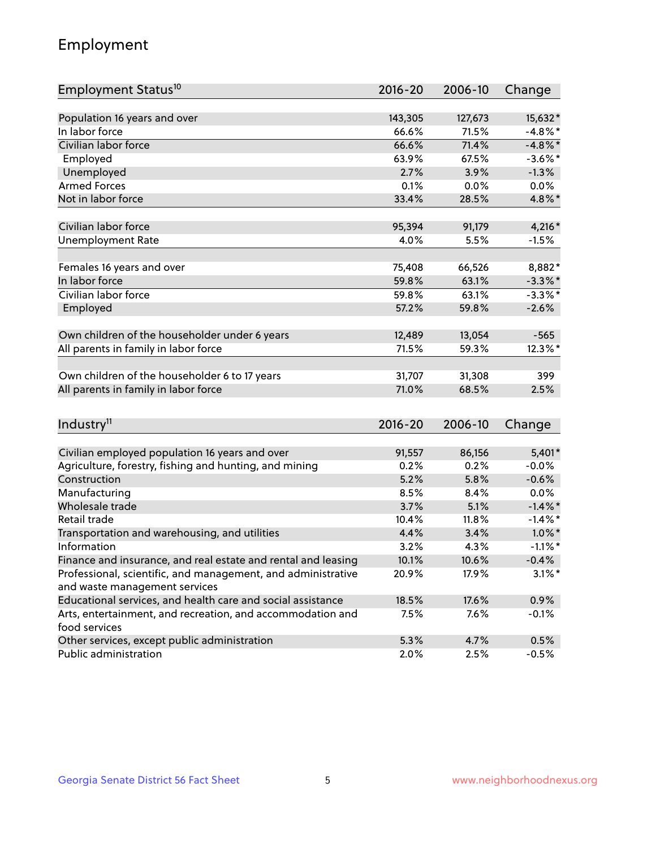## Employment

| Employment Status <sup>10</sup>                                                               | $2016 - 20$ | 2006-10 | Change     |
|-----------------------------------------------------------------------------------------------|-------------|---------|------------|
|                                                                                               |             |         |            |
| Population 16 years and over                                                                  | 143,305     | 127,673 | 15,632*    |
| In labor force                                                                                | 66.6%       | 71.5%   | $-4.8\%$ * |
| Civilian labor force                                                                          | 66.6%       | 71.4%   | $-4.8\%$ * |
| Employed                                                                                      | 63.9%       | 67.5%   | $-3.6\%$ * |
| Unemployed                                                                                    | 2.7%        | 3.9%    | $-1.3%$    |
| <b>Armed Forces</b>                                                                           | 0.1%        | 0.0%    | $0.0\%$    |
| Not in labor force                                                                            | 33.4%       | 28.5%   | 4.8%*      |
| Civilian labor force                                                                          | 95,394      | 91,179  | 4,216 *    |
| <b>Unemployment Rate</b>                                                                      | 4.0%        | 5.5%    | $-1.5%$    |
|                                                                                               |             |         |            |
| Females 16 years and over                                                                     | 75,408      | 66,526  | 8,882*     |
| In labor force                                                                                | 59.8%       | 63.1%   | $-3.3\%$ * |
| Civilian labor force                                                                          | 59.8%       | 63.1%   | $-3.3\%$ * |
| Employed                                                                                      | 57.2%       | 59.8%   | $-2.6%$    |
| Own children of the householder under 6 years                                                 | 12,489      | 13,054  | $-565$     |
| All parents in family in labor force                                                          | 71.5%       | 59.3%   | 12.3%*     |
|                                                                                               |             |         |            |
| Own children of the householder 6 to 17 years                                                 | 31,707      | 31,308  | 399        |
| All parents in family in labor force                                                          | 71.0%       | 68.5%   | 2.5%       |
|                                                                                               |             |         |            |
| Industry <sup>11</sup>                                                                        | $2016 - 20$ | 2006-10 | Change     |
|                                                                                               |             |         |            |
| Civilian employed population 16 years and over                                                | 91,557      | 86,156  | 5,401*     |
| Agriculture, forestry, fishing and hunting, and mining                                        | 0.2%        | 0.2%    | $-0.0%$    |
| Construction                                                                                  | 5.2%        | 5.8%    | $-0.6%$    |
| Manufacturing                                                                                 | 8.5%        | 8.4%    | 0.0%       |
| Wholesale trade                                                                               | 3.7%        | 5.1%    | $-1.4\%$ * |
| Retail trade                                                                                  | 10.4%       | 11.8%   | $-1.4\%$ * |
| Transportation and warehousing, and utilities                                                 | 4.4%        | 3.4%    | $1.0\%$ *  |
| Information                                                                                   | 3.2%        | 4.3%    | $-1.1\%$ * |
| Finance and insurance, and real estate and rental and leasing                                 | 10.1%       | 10.6%   | $-0.4%$    |
| Professional, scientific, and management, and administrative<br>and waste management services | 20.9%       | 17.9%   | $3.1\%$ *  |
| Educational services, and health care and social assistance                                   | 18.5%       | 17.6%   | 0.9%       |
| Arts, entertainment, and recreation, and accommodation and                                    | 7.5%        | 7.6%    | $-0.1%$    |
| food services                                                                                 |             |         |            |
| Other services, except public administration                                                  | 5.3%        | 4.7%    | 0.5%       |
| Public administration                                                                         | 2.0%        | 2.5%    | $-0.5%$    |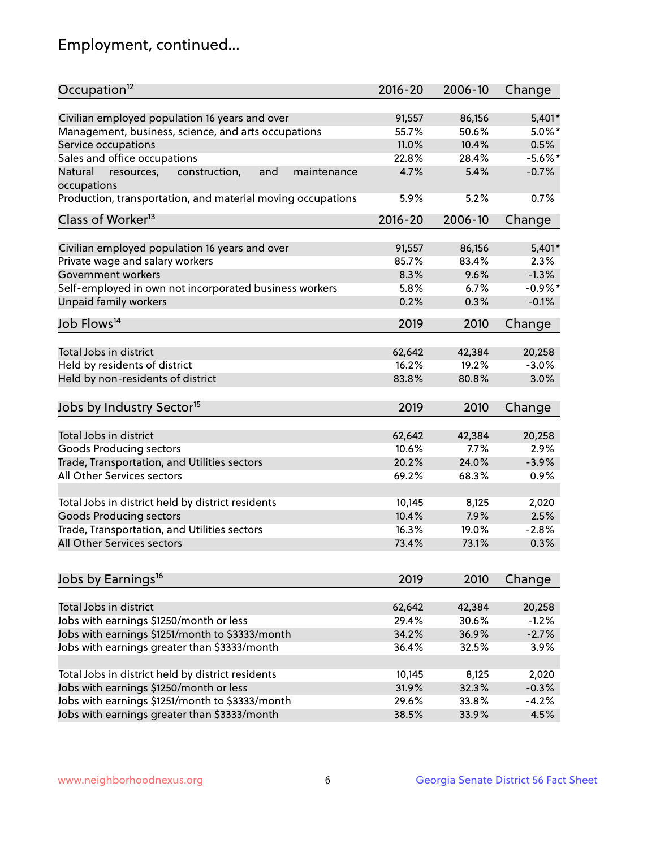## Employment, continued...

| Occupation <sup>12</sup>                                                    | $2016 - 20$     | 2006-10         | Change            |
|-----------------------------------------------------------------------------|-----------------|-----------------|-------------------|
| Civilian employed population 16 years and over                              | 91,557          | 86,156          | $5,401*$          |
| Management, business, science, and arts occupations                         | 55.7%           | 50.6%           | $5.0\%$ *         |
| Service occupations                                                         | 11.0%           | 10.4%           | 0.5%              |
| Sales and office occupations                                                | 22.8%           | 28.4%           | $-5.6\%$ *        |
|                                                                             | 4.7%            | 5.4%            | $-0.7%$           |
| Natural<br>and<br>resources,<br>construction,<br>maintenance<br>occupations |                 |                 |                   |
| Production, transportation, and material moving occupations                 | 5.9%            | 5.2%            | 0.7%              |
| Class of Worker <sup>13</sup>                                               | $2016 - 20$     | 2006-10         | Change            |
| Civilian employed population 16 years and over                              | 91,557          | 86,156          | $5,401*$          |
| Private wage and salary workers                                             | 85.7%           | 83.4%           | 2.3%              |
|                                                                             |                 | 9.6%            | $-1.3%$           |
| Government workers                                                          | 8.3%            |                 |                   |
| Self-employed in own not incorporated business workers                      | 5.8%            | 6.7%            | $-0.9%$ *         |
| Unpaid family workers                                                       | 0.2%            | 0.3%            | $-0.1%$           |
| Job Flows <sup>14</sup>                                                     | 2019            | 2010            | Change            |
|                                                                             |                 |                 |                   |
| Total Jobs in district                                                      | 62,642          | 42,384          | 20,258            |
| Held by residents of district                                               | 16.2%           | 19.2%           | $-3.0%$           |
| Held by non-residents of district                                           | 83.8%           | 80.8%           | 3.0%              |
| Jobs by Industry Sector <sup>15</sup>                                       | 2019            | 2010            | Change            |
| Total Jobs in district                                                      | 62,642          | 42,384          | 20,258            |
|                                                                             | 10.6%           | 7.7%            | 2.9%              |
| Goods Producing sectors                                                     |                 |                 |                   |
| Trade, Transportation, and Utilities sectors                                | 20.2%           | 24.0%           | $-3.9%$           |
| All Other Services sectors                                                  | 69.2%           | 68.3%           | 0.9%              |
| Total Jobs in district held by district residents                           | 10,145          | 8,125           | 2,020             |
| <b>Goods Producing sectors</b>                                              | 10.4%           | 7.9%            | 2.5%              |
| Trade, Transportation, and Utilities sectors                                | 16.3%           | 19.0%           | $-2.8%$           |
| All Other Services sectors                                                  | 73.4%           | 73.1%           | 0.3%              |
|                                                                             |                 |                 |                   |
| Jobs by Earnings <sup>16</sup>                                              | 2019            | 2010            | Change            |
| Total Jobs in district                                                      |                 |                 |                   |
|                                                                             | 62,642<br>29.4% | 42,384<br>30.6% | 20,258<br>$-1.2%$ |
| Jobs with earnings \$1250/month or less                                     |                 |                 |                   |
| Jobs with earnings \$1251/month to \$3333/month                             | 34.2%           | 36.9%           | $-2.7%$           |
| Jobs with earnings greater than \$3333/month                                | 36.4%           | 32.5%           | 3.9%              |
| Total Jobs in district held by district residents                           | 10,145          | 8,125           | 2,020             |
| Jobs with earnings \$1250/month or less                                     | 31.9%           | 32.3%           | $-0.3%$           |
| Jobs with earnings \$1251/month to \$3333/month                             | 29.6%           | 33.8%           | $-4.2%$           |
| Jobs with earnings greater than \$3333/month                                | 38.5%           | 33.9%           | 4.5%              |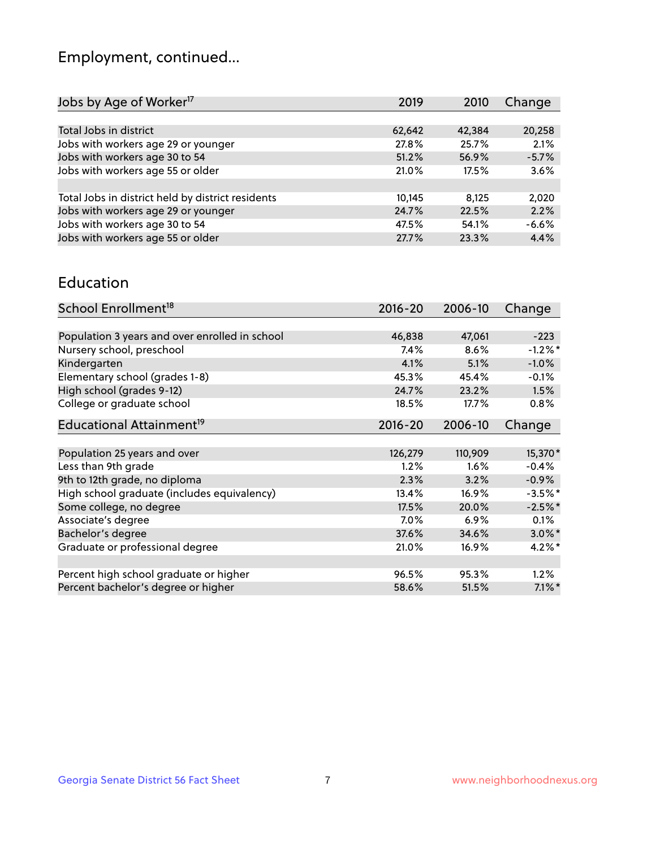## Employment, continued...

| 2019   | 2010   | Change  |
|--------|--------|---------|
|        |        |         |
| 62,642 | 42,384 | 20,258  |
| 27.8%  | 25.7%  | 2.1%    |
| 51.2%  | 56.9%  | $-5.7%$ |
| 21.0%  | 17.5%  | 3.6%    |
|        |        |         |
| 10,145 | 8.125  | 2,020   |
| 24.7%  | 22.5%  | 2.2%    |
| 47.5%  | 54.1%  | $-6.6%$ |
| 27.7%  | 23.3%  | 4.4%    |
|        |        |         |

#### Education

| School Enrollment <sup>18</sup>                | $2016 - 20$ | 2006-10  | Change     |
|------------------------------------------------|-------------|----------|------------|
|                                                |             |          |            |
| Population 3 years and over enrolled in school | 46,838      | 47,061   | $-223$     |
| Nursery school, preschool                      | $7.4\%$     | 8.6%     | $-1.2%$    |
| Kindergarten                                   | 4.1%        | 5.1%     | $-1.0%$    |
| Elementary school (grades 1-8)                 | 45.3%       | 45.4%    | $-0.1%$    |
| High school (grades 9-12)                      | 24.7%       | 23.2%    | 1.5%       |
| College or graduate school                     | 18.5%       | 17.7%    | $0.8\%$    |
| Educational Attainment <sup>19</sup>           | $2016 - 20$ | 2006-10  | Change     |
|                                                |             |          |            |
| Population 25 years and over                   | 126,279     | 110,909  | 15,370*    |
| Less than 9th grade                            | 1.2%        | 1.6%     | $-0.4%$    |
| 9th to 12th grade, no diploma                  | 2.3%        | 3.2%     | $-0.9%$    |
| High school graduate (includes equivalency)    | 13.4%       | 16.9%    | $-3.5\%$ * |
| Some college, no degree                        | 17.5%       | 20.0%    | $-2.5%$ *  |
| Associate's degree                             | 7.0%        | 6.9%     | 0.1%       |
| Bachelor's degree                              | 37.6%       | 34.6%    | $3.0\%$ *  |
| Graduate or professional degree                | 21.0%       | $16.9\%$ | $4.2\%$ *  |
|                                                |             |          |            |
| Percent high school graduate or higher         | 96.5%       | 95.3%    | 1.2%       |
| Percent bachelor's degree or higher            | 58.6%       | 51.5%    | $7.1\%$ *  |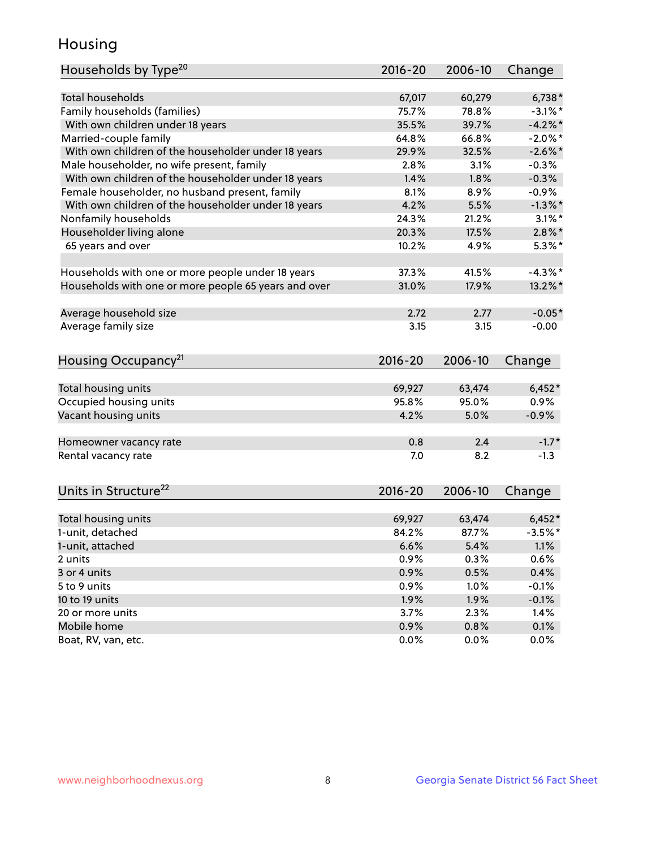## Housing

| Households by Type <sup>20</sup>                     | 2016-20      | 2006-10      | Change       |
|------------------------------------------------------|--------------|--------------|--------------|
|                                                      |              |              |              |
| <b>Total households</b>                              | 67,017       | 60,279       | $6,738*$     |
| Family households (families)                         | 75.7%        | 78.8%        | $-3.1\%$ *   |
| With own children under 18 years                     | 35.5%        | 39.7%        | $-4.2%$      |
| Married-couple family                                | 64.8%        | 66.8%        | $-2.0\%$ *   |
| With own children of the householder under 18 years  | 29.9%        | 32.5%        | $-2.6\%$ *   |
| Male householder, no wife present, family            | 2.8%         | 3.1%         | $-0.3%$      |
| With own children of the householder under 18 years  | 1.4%         | 1.8%         | $-0.3%$      |
| Female householder, no husband present, family       | 8.1%         | 8.9%         | $-0.9%$      |
| With own children of the householder under 18 years  | 4.2%         | 5.5%         | $-1.3\%$ *   |
| Nonfamily households                                 | 24.3%        | 21.2%        | $3.1\%$ *    |
| Householder living alone                             | 20.3%        | 17.5%        | $2.8\%$ *    |
| 65 years and over                                    | 10.2%        | 4.9%         | $5.3\%$ *    |
| Households with one or more people under 18 years    | 37.3%        | 41.5%        | $-4.3\%$ *   |
| Households with one or more people 65 years and over | 31.0%        | 17.9%        | $13.2\%$ *   |
|                                                      |              |              |              |
| Average household size                               | 2.72         | 2.77         | $-0.05*$     |
| Average family size                                  | 3.15         | 3.15         | $-0.00$      |
| Housing Occupancy <sup>21</sup>                      | $2016 - 20$  | 2006-10      | Change       |
| Total housing units                                  | 69,927       | 63,474       | $6,452*$     |
| Occupied housing units                               | 95.8%        | 95.0%        | 0.9%         |
| Vacant housing units                                 | 4.2%         | 5.0%         | $-0.9%$      |
|                                                      |              |              |              |
| Homeowner vacancy rate                               | 0.8          | 2.4          | $-1.7*$      |
| Rental vacancy rate                                  | 7.0          | 8.2          | $-1.3$       |
| Units in Structure <sup>22</sup>                     | 2016-20      | 2006-10      | Change       |
| Total housing units                                  | 69,927       | 63,474       | $6,452*$     |
| 1-unit, detached                                     | 84.2%        | 87.7%        | $-3.5%$ *    |
|                                                      |              |              |              |
| 1-unit, attached                                     | 6.6%<br>0.9% | 5.4%<br>0.3% | 1.1%<br>0.6% |
| 2 units                                              |              |              |              |
| 3 or 4 units<br>5 to 9 units                         | 0.9%         | 0.5%         | 0.4%         |
|                                                      | 0.9%         | 1.0%         | $-0.1%$      |
| 10 to 19 units                                       | 1.9%         | 1.9%         | $-0.1%$      |
| 20 or more units                                     | 3.7%         | 2.3%         | 1.4%         |
| Mobile home                                          | 0.9%         | 0.8%         | 0.1%         |
| Boat, RV, van, etc.                                  | 0.0%         | 0.0%         | 0.0%         |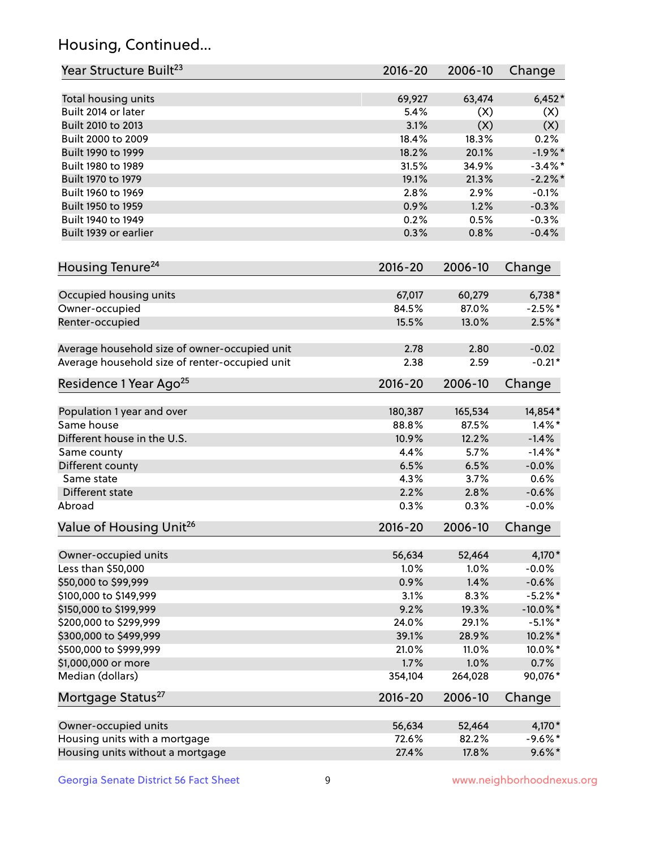## Housing, Continued...

| Year Structure Built <sup>23</sup>             | 2016-20     | 2006-10 | Change      |
|------------------------------------------------|-------------|---------|-------------|
| Total housing units                            | 69,927      | 63,474  | $6,452*$    |
| Built 2014 or later                            | 5.4%        | (X)     | (X)         |
| Built 2010 to 2013                             | 3.1%        | (X)     | (X)         |
| Built 2000 to 2009                             | 18.4%       | 18.3%   | 0.2%        |
| Built 1990 to 1999                             | 18.2%       | 20.1%   | $-1.9%$ *   |
| Built 1980 to 1989                             | 31.5%       | 34.9%   | $-3.4%$ *   |
| Built 1970 to 1979                             | 19.1%       | 21.3%   | $-2.2\%$ *  |
| Built 1960 to 1969                             | 2.8%        | 2.9%    | $-0.1%$     |
| Built 1950 to 1959                             | 0.9%        | 1.2%    | $-0.3%$     |
| Built 1940 to 1949                             | 0.2%        | 0.5%    | $-0.3%$     |
| Built 1939 or earlier                          | 0.3%        | 0.8%    | $-0.4%$     |
| Housing Tenure <sup>24</sup>                   | $2016 - 20$ | 2006-10 | Change      |
| Occupied housing units                         | 67,017      | 60,279  | $6,738*$    |
| Owner-occupied                                 | 84.5%       | 87.0%   | $-2.5%$ *   |
| Renter-occupied                                | 15.5%       | 13.0%   | $2.5\%$ *   |
| Average household size of owner-occupied unit  | 2.78        | 2.80    | $-0.02$     |
| Average household size of renter-occupied unit | 2.38        | 2.59    | $-0.21*$    |
| Residence 1 Year Ago <sup>25</sup>             | 2016-20     | 2006-10 | Change      |
| Population 1 year and over                     | 180,387     | 165,534 | 14,854*     |
| Same house                                     | 88.8%       | 87.5%   | $1.4\%$ *   |
| Different house in the U.S.                    | 10.9%       | 12.2%   | $-1.4%$     |
| Same county                                    | 4.4%        | 5.7%    | $-1.4\%$ *  |
| Different county                               | 6.5%        | 6.5%    | $-0.0%$     |
| Same state                                     | 4.3%        | 3.7%    | 0.6%        |
| Different state                                | 2.2%        | 2.8%    | $-0.6%$     |
| Abroad                                         | 0.3%        | 0.3%    | $-0.0%$     |
| Value of Housing Unit <sup>26</sup>            | 2016-20     | 2006-10 | Change      |
| Owner-occupied units                           | 56,634      | 52,464  | 4,170*      |
| Less than \$50,000                             | 1.0%        | 1.0%    | $-0.0%$     |
| \$50,000 to \$99,999                           | 0.9%        | 1.4%    | $-0.6%$     |
| \$100,000 to \$149,999                         | 3.1%        | 8.3%    | $-5.2\%$ *  |
| \$150,000 to \$199,999                         | 9.2%        | 19.3%   | $-10.0\%$ * |
| \$200,000 to \$299,999                         | 24.0%       | 29.1%   | $-5.1\%$ *  |
| \$300,000 to \$499,999                         | 39.1%       | 28.9%   | 10.2%*      |
| \$500,000 to \$999,999                         | 21.0%       | 11.0%   | 10.0%*      |
| \$1,000,000 or more                            | 1.7%        | 1.0%    | 0.7%        |
| Median (dollars)                               | 354,104     | 264,028 | 90,076*     |
| Mortgage Status <sup>27</sup>                  | 2016-20     | 2006-10 | Change      |
| Owner-occupied units                           | 56,634      | 52,464  | 4,170*      |
| Housing units with a mortgage                  | 72.6%       | 82.2%   | $-9.6%$ *   |
| Housing units without a mortgage               | 27.4%       | 17.8%   | $9.6\%*$    |
|                                                |             |         |             |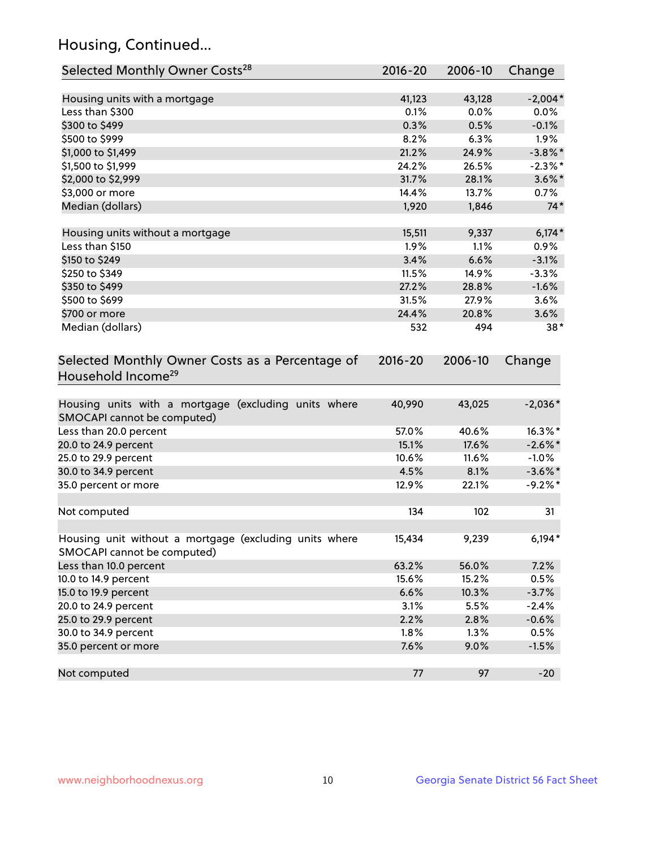## Housing, Continued...

| Selected Monthly Owner Costs <sup>28</sup>                                            | 2016-20     | 2006-10 | Change     |
|---------------------------------------------------------------------------------------|-------------|---------|------------|
| Housing units with a mortgage                                                         | 41,123      | 43,128  | $-2,004*$  |
| Less than \$300                                                                       | 0.1%        | 0.0%    | 0.0%       |
| \$300 to \$499                                                                        | 0.3%        | 0.5%    | $-0.1%$    |
| \$500 to \$999                                                                        | 8.2%        | 6.3%    | 1.9%       |
| \$1,000 to \$1,499                                                                    | 21.2%       | 24.9%   | $-3.8\%$ * |
| \$1,500 to \$1,999                                                                    | 24.2%       | 26.5%   | $-2.3\%$ * |
| \$2,000 to \$2,999                                                                    | 31.7%       | 28.1%   | $3.6\%$ *  |
| \$3,000 or more                                                                       | 14.4%       | 13.7%   | 0.7%       |
| Median (dollars)                                                                      | 1,920       | 1,846   | $74*$      |
| Housing units without a mortgage                                                      | 15,511      | 9,337   | $6,174*$   |
| Less than \$150                                                                       | 1.9%        | 1.1%    | 0.9%       |
| \$150 to \$249                                                                        | 3.4%        | 6.6%    | $-3.1%$    |
| \$250 to \$349                                                                        | 11.5%       | 14.9%   | $-3.3%$    |
| \$350 to \$499                                                                        | 27.2%       | 28.8%   | $-1.6%$    |
| \$500 to \$699                                                                        | 31.5%       | 27.9%   | 3.6%       |
| \$700 or more                                                                         | 24.4%       | 20.8%   | 3.6%       |
| Median (dollars)                                                                      | 532         | 494     | $38*$      |
| Selected Monthly Owner Costs as a Percentage of<br>Household Income <sup>29</sup>     | $2016 - 20$ | 2006-10 | Change     |
| Housing units with a mortgage (excluding units where<br>SMOCAPI cannot be computed)   | 40,990      | 43,025  | $-2,036*$  |
| Less than 20.0 percent                                                                | 57.0%       | 40.6%   | 16.3%*     |
| 20.0 to 24.9 percent                                                                  | 15.1%       | 17.6%   | $-2.6\%$ * |
| 25.0 to 29.9 percent                                                                  | 10.6%       | 11.6%   | $-1.0\%$   |
| 30.0 to 34.9 percent                                                                  | 4.5%        | 8.1%    | $-3.6\%$ * |
| 35.0 percent or more                                                                  | 12.9%       | 22.1%   | $-9.2%$ *  |
| Not computed                                                                          | 134         | 102     | 31         |
| Housing unit without a mortgage (excluding units where<br>SMOCAPI cannot be computed) | 15,434      | 9,239   | $6,194*$   |
| Less than 10.0 percent                                                                | 63.2%       | 56.0%   | 7.2%       |
| 10.0 to 14.9 percent                                                                  | 15.6%       | 15.2%   | 0.5%       |
| 15.0 to 19.9 percent                                                                  | 6.6%        | 10.3%   | $-3.7%$    |
| 20.0 to 24.9 percent                                                                  | 3.1%        | 5.5%    | $-2.4%$    |
| 25.0 to 29.9 percent                                                                  | 2.2%        | 2.8%    | $-0.6%$    |
| 30.0 to 34.9 percent                                                                  | 1.8%        | 1.3%    | 0.5%       |
| 35.0 percent or more                                                                  | 7.6%        | 9.0%    | $-1.5%$    |
| Not computed                                                                          | 77          | 97      | $-20$      |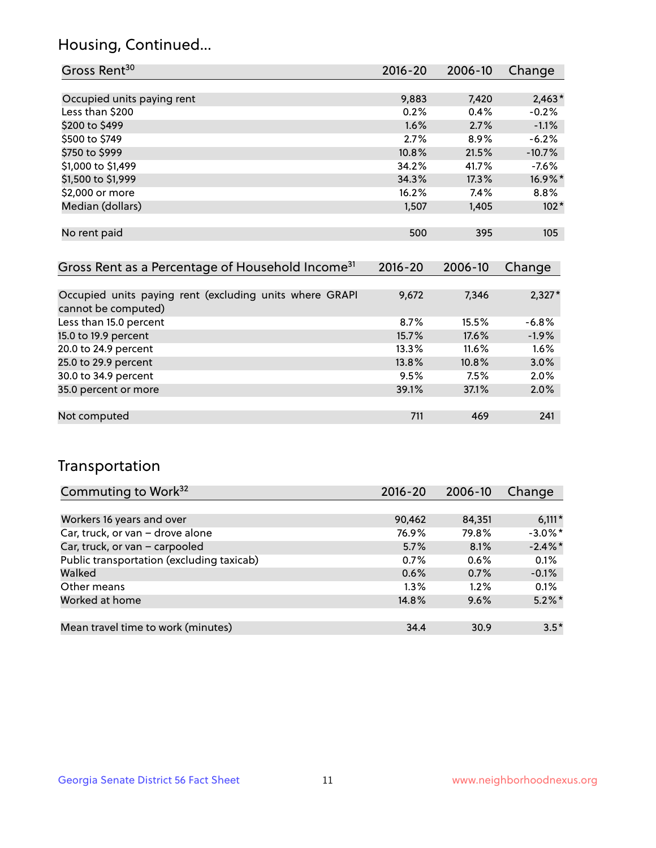## Housing, Continued...

| Gross Rent <sup>30</sup>                                     | 2016-20     | 2006-10 | Change   |
|--------------------------------------------------------------|-------------|---------|----------|
|                                                              |             |         |          |
| Occupied units paying rent                                   | 9,883       | 7,420   | $2,463*$ |
| Less than \$200                                              | 0.2%        | 0.4%    | $-0.2%$  |
| \$200 to \$499                                               | 1.6%        | 2.7%    | $-1.1%$  |
| \$500 to \$749                                               | 2.7%        | 8.9%    | $-6.2%$  |
| \$750 to \$999                                               | 10.8%       | 21.5%   | $-10.7%$ |
| \$1,000 to \$1,499                                           | 34.2%       | 41.7%   | $-7.6%$  |
| \$1,500 to \$1,999                                           | 34.3%       | 17.3%   | 16.9%*   |
| \$2,000 or more                                              | 16.2%       | 7.4%    | 8.8%     |
| Median (dollars)                                             | 1,507       | 1,405   | $102*$   |
|                                                              |             |         |          |
| No rent paid                                                 | 500         | 395     | 105      |
|                                                              |             |         |          |
| Gross Rent as a Percentage of Household Income <sup>31</sup> | $2016 - 20$ | 2006-10 | Change   |

| Occupied units paying rent (excluding units where GRAPI<br>cannot be computed) | 9,672 | 7,346    | $2,327*$ |
|--------------------------------------------------------------------------------|-------|----------|----------|
| Less than 15.0 percent                                                         | 8.7%  | 15.5%    | $-6.8%$  |
| 15.0 to 19.9 percent                                                           | 15.7% | 17.6%    | $-1.9%$  |
| 20.0 to 24.9 percent                                                           | 13.3% | $11.6\%$ | 1.6%     |
| 25.0 to 29.9 percent                                                           | 13.8% | 10.8%    | 3.0%     |
| 30.0 to 34.9 percent                                                           | 9.5%  | 7.5%     | 2.0%     |
| 35.0 percent or more                                                           | 39.1% | 37.1%    | 2.0%     |
|                                                                                |       |          |          |
| Not computed                                                                   | 711   | 469      | 241      |

## Transportation

| Commuting to Work <sup>32</sup>           | 2016-20 | 2006-10 | Change     |
|-------------------------------------------|---------|---------|------------|
|                                           |         |         |            |
| Workers 16 years and over                 | 90,462  | 84,351  | $6,111*$   |
| Car, truck, or van - drove alone          | 76.9%   | 79.8%   | $-3.0\%$ * |
| Car, truck, or van - carpooled            | 5.7%    | 8.1%    | $-2.4\%$ * |
| Public transportation (excluding taxicab) | 0.7%    | 0.6%    | 0.1%       |
| Walked                                    | 0.6%    | 0.7%    | $-0.1%$    |
| Other means                               | $1.3\%$ | $1.2\%$ | 0.1%       |
| Worked at home                            | 14.8%   | 9.6%    | $5.2\%$ *  |
|                                           |         |         |            |
| Mean travel time to work (minutes)        | 34.4    | 30.9    | $3.5*$     |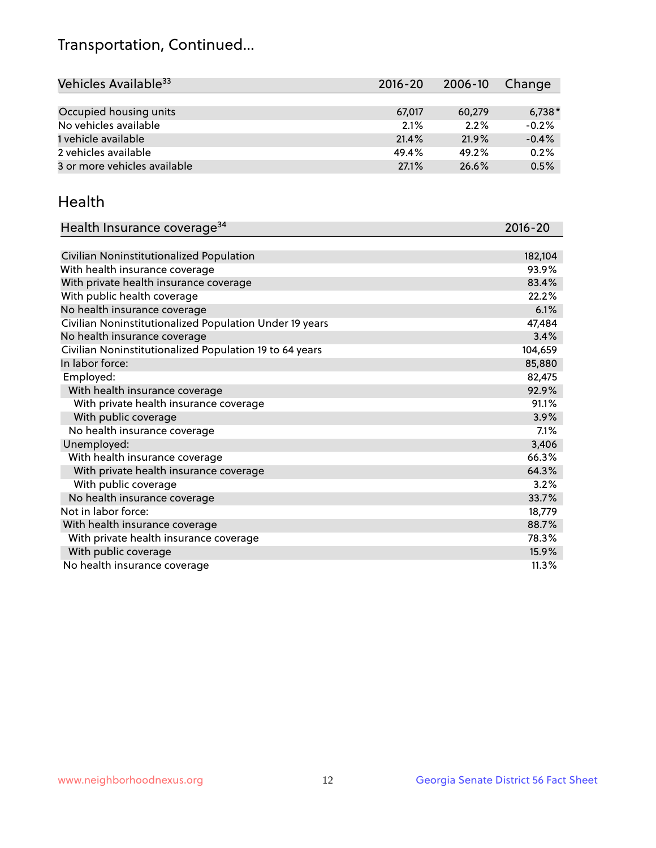## Transportation, Continued...

| Vehicles Available <sup>33</sup> | $2016 - 20$ | 2006-10 | Change   |
|----------------------------------|-------------|---------|----------|
|                                  |             |         |          |
| Occupied housing units           | 67,017      | 60,279  | $6,738*$ |
| No vehicles available            | 2.1%        | 2.2%    | $-0.2%$  |
| 1 vehicle available              | 21.4%       | 21.9%   | $-0.4%$  |
| 2 vehicles available             | 49.4%       | 49.2%   | 0.2%     |
| 3 or more vehicles available     | 27.1%       | 26.6%   | 0.5%     |

#### Health

| Health Insurance coverage <sup>34</sup>                 | 2016-20 |
|---------------------------------------------------------|---------|
|                                                         |         |
| Civilian Noninstitutionalized Population                | 182,104 |
| With health insurance coverage                          | 93.9%   |
| With private health insurance coverage                  | 83.4%   |
| With public health coverage                             | 22.2%   |
| No health insurance coverage                            | 6.1%    |
| Civilian Noninstitutionalized Population Under 19 years | 47,484  |
| No health insurance coverage                            | 3.4%    |
| Civilian Noninstitutionalized Population 19 to 64 years | 104,659 |
| In labor force:                                         | 85,880  |
| Employed:                                               | 82,475  |
| With health insurance coverage                          | 92.9%   |
| With private health insurance coverage                  | 91.1%   |
| With public coverage                                    | 3.9%    |
| No health insurance coverage                            | 7.1%    |
| Unemployed:                                             | 3,406   |
| With health insurance coverage                          | 66.3%   |
| With private health insurance coverage                  | 64.3%   |
| With public coverage                                    | 3.2%    |
| No health insurance coverage                            | 33.7%   |
| Not in labor force:                                     | 18,779  |
| With health insurance coverage                          | 88.7%   |
| With private health insurance coverage                  | 78.3%   |
| With public coverage                                    | 15.9%   |
| No health insurance coverage                            | 11.3%   |